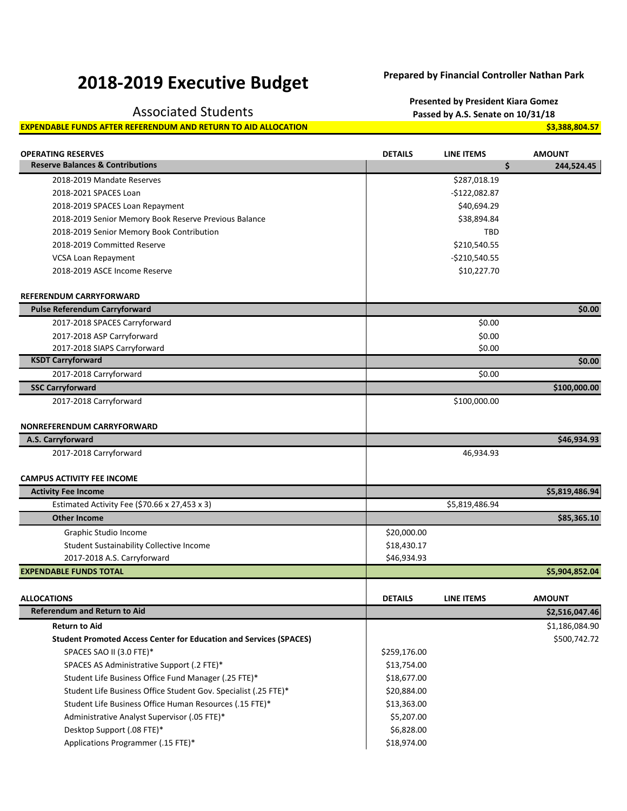## **2018-2019 Executive Budget Prepared by Financial Controller Nathan Park**

## **EXPENDABLE FUNDS AFTER REFERENDUM AND RETURN TO AID ALLOCATION <b>\$3,388,804.57** \$3,388,804.57

**Presented by President Kiara Gomez** Associated Students **Passed by A.S. Senate on 10/31/18**

| <b>Reserve Balances &amp; Contributions</b><br>\$<br>244,524.45<br>\$287,018.19<br>2018-2019 Mandate Reserves<br>2018-2021 SPACES Loan<br>-\$122,082.87<br>\$40,694.29<br>2018-2019 SPACES Loan Repayment<br>2018-2019 Senior Memory Book Reserve Previous Balance<br>\$38,894.84<br>2018-2019 Senior Memory Book Contribution<br>TBD<br>2018-2019 Committed Reserve<br>\$210,540.55<br>$-$210,540.55$<br>VCSA Loan Repayment<br>\$10,227.70<br>2018-2019 ASCE Income Reserve<br><b>REFERENDUM CARRYFORWARD</b><br>\$0.00<br><b>Pulse Referendum Carryforward</b><br>\$0.00<br>2017-2018 SPACES Carryforward<br>\$0.00<br>2017-2018 ASP Carryforward<br>\$0.00<br>2017-2018 SIAPS Carryforward<br><b>KSDT Carryforward</b><br>\$0.00<br>2017-2018 Carryforward<br>\$0.00<br><b>SSC Carryforward</b><br>\$100,000.00<br>2017-2018 Carryforward<br>\$100,000.00 |
|---------------------------------------------------------------------------------------------------------------------------------------------------------------------------------------------------------------------------------------------------------------------------------------------------------------------------------------------------------------------------------------------------------------------------------------------------------------------------------------------------------------------------------------------------------------------------------------------------------------------------------------------------------------------------------------------------------------------------------------------------------------------------------------------------------------------------------------------------------------|
|                                                                                                                                                                                                                                                                                                                                                                                                                                                                                                                                                                                                                                                                                                                                                                                                                                                               |
|                                                                                                                                                                                                                                                                                                                                                                                                                                                                                                                                                                                                                                                                                                                                                                                                                                                               |
|                                                                                                                                                                                                                                                                                                                                                                                                                                                                                                                                                                                                                                                                                                                                                                                                                                                               |
|                                                                                                                                                                                                                                                                                                                                                                                                                                                                                                                                                                                                                                                                                                                                                                                                                                                               |
|                                                                                                                                                                                                                                                                                                                                                                                                                                                                                                                                                                                                                                                                                                                                                                                                                                                               |
|                                                                                                                                                                                                                                                                                                                                                                                                                                                                                                                                                                                                                                                                                                                                                                                                                                                               |
|                                                                                                                                                                                                                                                                                                                                                                                                                                                                                                                                                                                                                                                                                                                                                                                                                                                               |
|                                                                                                                                                                                                                                                                                                                                                                                                                                                                                                                                                                                                                                                                                                                                                                                                                                                               |
|                                                                                                                                                                                                                                                                                                                                                                                                                                                                                                                                                                                                                                                                                                                                                                                                                                                               |
|                                                                                                                                                                                                                                                                                                                                                                                                                                                                                                                                                                                                                                                                                                                                                                                                                                                               |
|                                                                                                                                                                                                                                                                                                                                                                                                                                                                                                                                                                                                                                                                                                                                                                                                                                                               |
|                                                                                                                                                                                                                                                                                                                                                                                                                                                                                                                                                                                                                                                                                                                                                                                                                                                               |
|                                                                                                                                                                                                                                                                                                                                                                                                                                                                                                                                                                                                                                                                                                                                                                                                                                                               |
|                                                                                                                                                                                                                                                                                                                                                                                                                                                                                                                                                                                                                                                                                                                                                                                                                                                               |
|                                                                                                                                                                                                                                                                                                                                                                                                                                                                                                                                                                                                                                                                                                                                                                                                                                                               |
|                                                                                                                                                                                                                                                                                                                                                                                                                                                                                                                                                                                                                                                                                                                                                                                                                                                               |
|                                                                                                                                                                                                                                                                                                                                                                                                                                                                                                                                                                                                                                                                                                                                                                                                                                                               |
|                                                                                                                                                                                                                                                                                                                                                                                                                                                                                                                                                                                                                                                                                                                                                                                                                                                               |
|                                                                                                                                                                                                                                                                                                                                                                                                                                                                                                                                                                                                                                                                                                                                                                                                                                                               |
| <b>NONREFERENDUM CARRYFORWARD</b><br>\$46,934.93<br>A.S. Carryforward                                                                                                                                                                                                                                                                                                                                                                                                                                                                                                                                                                                                                                                                                                                                                                                         |
| 2017-2018 Carryforward<br>46,934.93                                                                                                                                                                                                                                                                                                                                                                                                                                                                                                                                                                                                                                                                                                                                                                                                                           |
|                                                                                                                                                                                                                                                                                                                                                                                                                                                                                                                                                                                                                                                                                                                                                                                                                                                               |
| <b>CAMPUS ACTIVITY FEE INCOME</b>                                                                                                                                                                                                                                                                                                                                                                                                                                                                                                                                                                                                                                                                                                                                                                                                                             |
| \$5,819,486.94<br><b>Activity Fee Income</b>                                                                                                                                                                                                                                                                                                                                                                                                                                                                                                                                                                                                                                                                                                                                                                                                                  |
| Estimated Activity Fee (\$70.66 x 27,453 x 3)<br>\$5,819,486.94                                                                                                                                                                                                                                                                                                                                                                                                                                                                                                                                                                                                                                                                                                                                                                                               |
| <b>Other Income</b><br>\$85,365.10                                                                                                                                                                                                                                                                                                                                                                                                                                                                                                                                                                                                                                                                                                                                                                                                                            |
| Graphic Studio Income<br>\$20,000.00                                                                                                                                                                                                                                                                                                                                                                                                                                                                                                                                                                                                                                                                                                                                                                                                                          |
| Student Sustainability Collective Income<br>\$18,430.17                                                                                                                                                                                                                                                                                                                                                                                                                                                                                                                                                                                                                                                                                                                                                                                                       |
| 2017-2018 A.S. Carryforward<br>\$46,934.93                                                                                                                                                                                                                                                                                                                                                                                                                                                                                                                                                                                                                                                                                                                                                                                                                    |
| <b>EXPENDABLE FUNDS TOTAL</b><br>\$5,904,852.04                                                                                                                                                                                                                                                                                                                                                                                                                                                                                                                                                                                                                                                                                                                                                                                                               |
|                                                                                                                                                                                                                                                                                                                                                                                                                                                                                                                                                                                                                                                                                                                                                                                                                                                               |
| <b>DETAILS</b><br><b>AMOUNT</b><br><b>ALLOCATIONS</b><br><b>LINE ITEMS</b>                                                                                                                                                                                                                                                                                                                                                                                                                                                                                                                                                                                                                                                                                                                                                                                    |
| <b>Referendum and Return to Aid</b><br>\$2,516,047.46                                                                                                                                                                                                                                                                                                                                                                                                                                                                                                                                                                                                                                                                                                                                                                                                         |
| <b>Return to Aid</b><br>\$1,186,084.90                                                                                                                                                                                                                                                                                                                                                                                                                                                                                                                                                                                                                                                                                                                                                                                                                        |
| \$500,742.72<br><b>Student Promoted Access Center for Education and Services (SPACES)</b>                                                                                                                                                                                                                                                                                                                                                                                                                                                                                                                                                                                                                                                                                                                                                                     |
| SPACES SAO II (3.0 FTE)*<br>\$259,176.00                                                                                                                                                                                                                                                                                                                                                                                                                                                                                                                                                                                                                                                                                                                                                                                                                      |
| SPACES AS Administrative Support (.2 FTE)*<br>\$13,754.00                                                                                                                                                                                                                                                                                                                                                                                                                                                                                                                                                                                                                                                                                                                                                                                                     |
| Student Life Business Office Fund Manager (.25 FTE)*<br>\$18,677.00                                                                                                                                                                                                                                                                                                                                                                                                                                                                                                                                                                                                                                                                                                                                                                                           |
| Student Life Business Office Student Gov. Specialist (.25 FTE)*<br>\$20,884.00                                                                                                                                                                                                                                                                                                                                                                                                                                                                                                                                                                                                                                                                                                                                                                                |
| Student Life Business Office Human Resources (.15 FTE)*<br>\$13,363.00                                                                                                                                                                                                                                                                                                                                                                                                                                                                                                                                                                                                                                                                                                                                                                                        |
| Administrative Analyst Supervisor (.05 FTE)*<br>\$5,207.00                                                                                                                                                                                                                                                                                                                                                                                                                                                                                                                                                                                                                                                                                                                                                                                                    |
| Desktop Support (.08 FTE)*<br>\$6,828.00                                                                                                                                                                                                                                                                                                                                                                                                                                                                                                                                                                                                                                                                                                                                                                                                                      |
| Applications Programmer (.15 FTE)*<br>\$18,974.00                                                                                                                                                                                                                                                                                                                                                                                                                                                                                                                                                                                                                                                                                                                                                                                                             |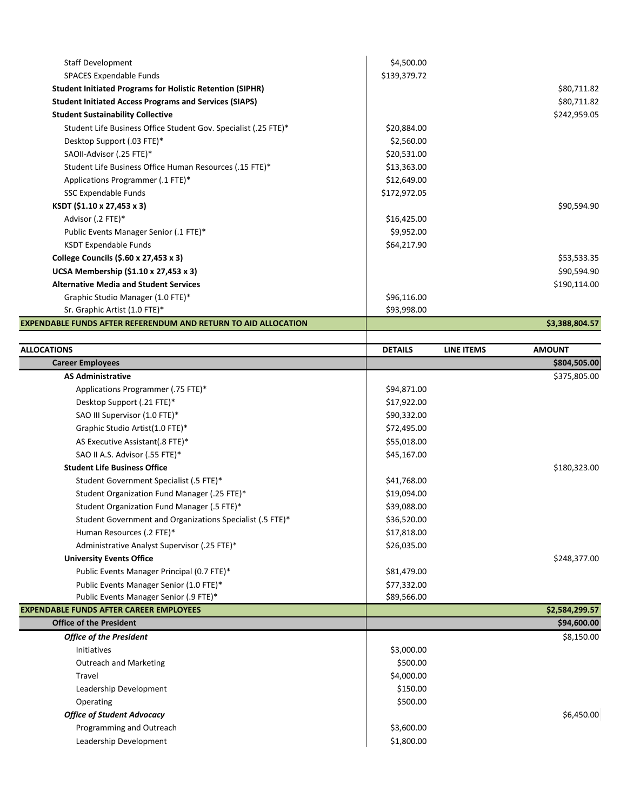| <b>Staff Development</b>                                         | \$4,500.00   |                |
|------------------------------------------------------------------|--------------|----------------|
| SPACES Expendable Funds                                          | \$139,379.72 |                |
| <b>Student Initiated Programs for Holistic Retention (SIPHR)</b> |              | \$80,711.82    |
| <b>Student Initiated Access Programs and Services (SIAPS)</b>    |              | \$80,711.82    |
| <b>Student Sustainability Collective</b>                         |              | \$242,959.05   |
| Student Life Business Office Student Gov. Specialist (.25 FTE)*  | \$20,884.00  |                |
| Desktop Support (.03 FTE)*                                       | \$2,560.00   |                |
| SAOII-Advisor (.25 FTE)*                                         | \$20,531.00  |                |
| Student Life Business Office Human Resources (.15 FTE)*          | \$13,363.00  |                |
| Applications Programmer (.1 FTE)*                                | \$12,649.00  |                |
| SSC Expendable Funds                                             | \$172,972.05 |                |
| KSDT (\$1.10 x 27,453 x 3)                                       |              | \$90,594.90    |
| Advisor (.2 FTE)*                                                | \$16,425.00  |                |
| Public Events Manager Senior (.1 FTE)*                           | \$9,952.00   |                |
| <b>KSDT Expendable Funds</b>                                     | \$64,217.90  |                |
| College Councils (\$.60 x 27,453 x 3)                            |              | \$53,533.35    |
| UCSA Membership (\$1.10 x 27,453 x 3)                            |              | \$90,594.90    |
| <b>Alternative Media and Student Services</b>                    |              | \$190,114.00   |
| Graphic Studio Manager (1.0 FTE)*                                | \$96,116.00  |                |
| Sr. Graphic Artist (1.0 FTE)*                                    | \$93,998.00  |                |
| EXPENDABLE FUNDS AFTER REFERENDUM AND RETURN TO AID ALLOCATION   |              | \$3,388,804.57 |

| <b>ALLOCATIONS</b>                                        | <b>DETAILS</b> | <b>LINE ITEMS</b> | <b>AMOUNT</b>  |
|-----------------------------------------------------------|----------------|-------------------|----------------|
| <b>Career Employees</b>                                   |                |                   | \$804,505.00   |
| <b>AS Administrative</b>                                  |                |                   | \$375,805.00   |
| Applications Programmer (.75 FTE)*                        | \$94,871.00    |                   |                |
| Desktop Support (.21 FTE)*                                | \$17,922.00    |                   |                |
| SAO III Supervisor (1.0 FTE)*                             | \$90,332.00    |                   |                |
| Graphic Studio Artist(1.0 FTE)*                           | \$72,495.00    |                   |                |
| AS Executive Assistant(.8 FTE)*                           | \$55,018.00    |                   |                |
| SAO II A.S. Advisor (.55 FTE)*                            | \$45,167.00    |                   |                |
| <b>Student Life Business Office</b>                       |                |                   | \$180,323.00   |
| Student Government Specialist (.5 FTE)*                   | \$41,768.00    |                   |                |
| Student Organization Fund Manager (.25 FTE)*              | \$19,094.00    |                   |                |
| Student Organization Fund Manager (.5 FTE)*               | \$39,088.00    |                   |                |
| Student Government and Organizations Specialist (.5 FTE)* | \$36,520.00    |                   |                |
| Human Resources (.2 FTE)*                                 | \$17,818.00    |                   |                |
| Administrative Analyst Supervisor (.25 FTE)*              | \$26,035.00    |                   |                |
| <b>University Events Office</b>                           |                |                   | \$248,377.00   |
| Public Events Manager Principal (0.7 FTE)*                | \$81,479.00    |                   |                |
| Public Events Manager Senior (1.0 FTE)*                   | \$77,332.00    |                   |                |
| Public Events Manager Senior (.9 FTE)*                    | \$89,566.00    |                   |                |
| <b>EXPENDABLE FUNDS AFTER CAREER EMPLOYEES</b>            |                |                   | \$2,584,299.57 |
| <b>Office of the President</b>                            |                |                   | \$94,600.00    |
| <b>Office of the President</b>                            |                |                   | \$8,150.00     |
| <b>Initiatives</b>                                        | \$3,000.00     |                   |                |
| <b>Outreach and Marketing</b>                             | \$500.00       |                   |                |
| Travel                                                    | \$4,000.00     |                   |                |
| Leadership Development                                    | \$150.00       |                   |                |
| Operating                                                 | \$500.00       |                   |                |
| <b>Office of Student Advocacy</b>                         |                |                   | \$6,450.00     |
| Programming and Outreach                                  | \$3,600.00     |                   |                |
| Leadership Development                                    | \$1,800.00     |                   |                |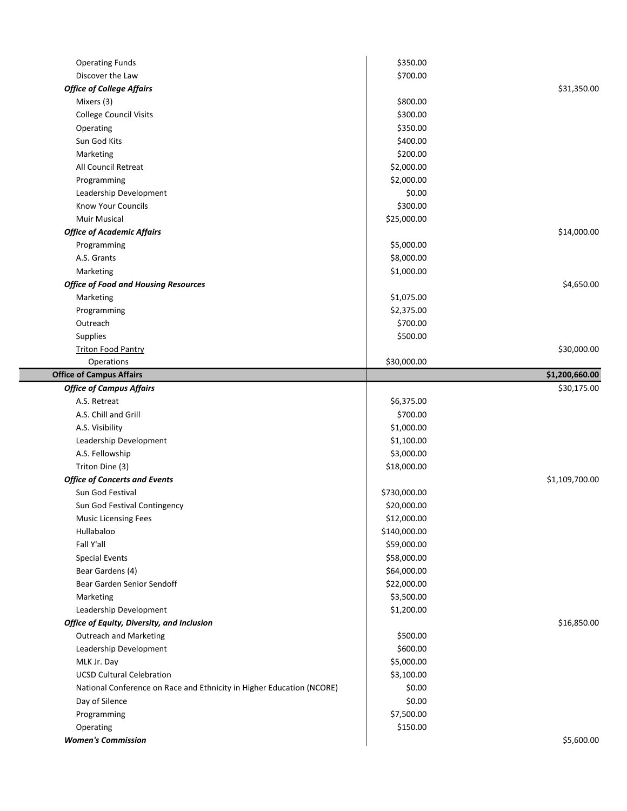| <b>Operating Funds</b>                                                | \$350.00     |                |
|-----------------------------------------------------------------------|--------------|----------------|
| Discover the Law                                                      | \$700.00     |                |
| <b>Office of College Affairs</b>                                      |              | \$31,350.00    |
| Mixers (3)                                                            | \$800.00     |                |
| <b>College Council Visits</b>                                         | \$300.00     |                |
| Operating                                                             | \$350.00     |                |
| Sun God Kits                                                          | \$400.00     |                |
| Marketing                                                             | \$200.00     |                |
| All Council Retreat                                                   | \$2,000.00   |                |
| Programming                                                           | \$2,000.00   |                |
| Leadership Development                                                | \$0.00       |                |
| <b>Know Your Councils</b>                                             | \$300.00     |                |
| <b>Muir Musical</b>                                                   | \$25,000.00  |                |
| <b>Office of Academic Affairs</b>                                     |              | \$14,000.00    |
| Programming                                                           | \$5,000.00   |                |
| A.S. Grants                                                           | \$8,000.00   |                |
| Marketing                                                             | \$1,000.00   |                |
| <b>Office of Food and Housing Resources</b>                           |              | \$4,650.00     |
| Marketing                                                             | \$1,075.00   |                |
| Programming                                                           | \$2,375.00   |                |
| Outreach                                                              | \$700.00     |                |
| Supplies                                                              | \$500.00     |                |
| <b>Triton Food Pantry</b>                                             |              | \$30,000.00    |
| Operations                                                            | \$30,000.00  |                |
| <b>Office of Campus Affairs</b>                                       |              | \$1,200,660.00 |
| <b>Office of Campus Affairs</b>                                       |              | \$30,175.00    |
| A.S. Retreat                                                          | \$6,375.00   |                |
| A.S. Chill and Grill                                                  | \$700.00     |                |
| A.S. Visibility                                                       | \$1,000.00   |                |
| Leadership Development                                                | \$1,100.00   |                |
| A.S. Fellowship                                                       | \$3,000.00   |                |
| Triton Dine (3)                                                       | \$18,000.00  |                |
| <b>Office of Concerts and Events</b>                                  |              | \$1,109,700.00 |
| Sun God Festival                                                      | \$730,000.00 |                |
| Sun God Festival Contingency                                          | \$20,000.00  |                |
| <b>Music Licensing Fees</b>                                           | \$12,000.00  |                |
| Hullabaloo                                                            | \$140,000.00 |                |
| Fall Y'all                                                            | \$59,000.00  |                |
| <b>Special Events</b>                                                 | \$58,000.00  |                |
| Bear Gardens (4)                                                      | \$64,000.00  |                |
| Bear Garden Senior Sendoff                                            | \$22,000.00  |                |
| Marketing                                                             | \$3,500.00   |                |
| Leadership Development                                                | \$1,200.00   |                |
| Office of Equity, Diversity, and Inclusion                            |              | \$16,850.00    |
| <b>Outreach and Marketing</b>                                         | \$500.00     |                |
| Leadership Development                                                | \$600.00     |                |
| MLK Jr. Day                                                           | \$5,000.00   |                |
| <b>UCSD Cultural Celebration</b>                                      | \$3,100.00   |                |
| National Conference on Race and Ethnicity in Higher Education (NCORE) | \$0.00       |                |
| Day of Silence                                                        | \$0.00       |                |
| Programming                                                           | \$7,500.00   |                |
| Operating                                                             | \$150.00     |                |
| <b>Women's Commission</b>                                             |              | \$5,600.00     |
|                                                                       |              |                |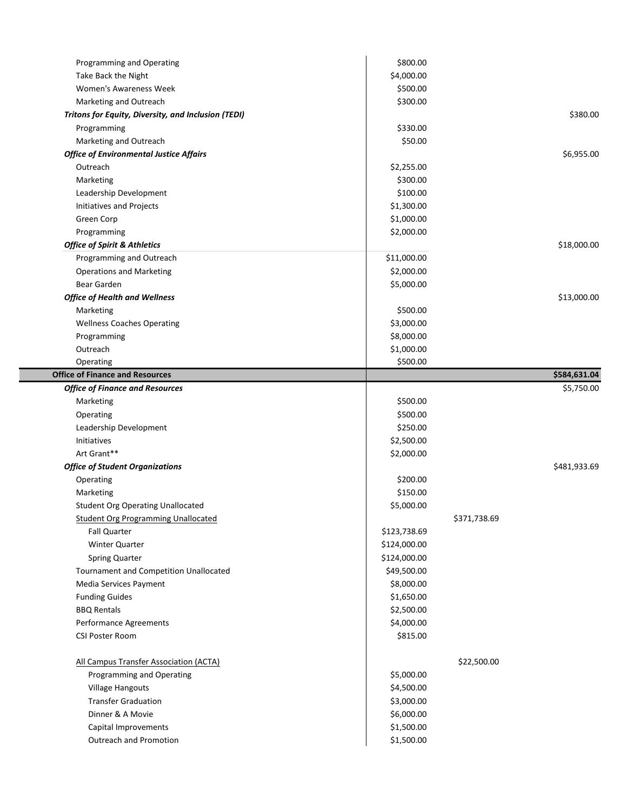|                                                     | \$800.00     |              |              |
|-----------------------------------------------------|--------------|--------------|--------------|
| Take Back the Night                                 | \$4,000.00   |              |              |
| Women's Awareness Week                              | \$500.00     |              |              |
| Marketing and Outreach                              | \$300.00     |              |              |
| Tritons for Equity, Diversity, and Inclusion (TEDI) |              |              | \$380.00     |
| Programming                                         | \$330.00     |              |              |
| Marketing and Outreach                              | \$50.00      |              |              |
| <b>Office of Environmental Justice Affairs</b>      |              |              | \$6,955.00   |
| Outreach                                            | \$2,255.00   |              |              |
| Marketing                                           | \$300.00     |              |              |
| Leadership Development                              | \$100.00     |              |              |
| Initiatives and Projects                            | \$1,300.00   |              |              |
| Green Corp                                          | \$1,000.00   |              |              |
| Programming                                         | \$2,000.00   |              |              |
| <b>Office of Spirit &amp; Athletics</b>             |              |              | \$18,000.00  |
| Programming and Outreach                            | \$11,000.00  |              |              |
| <b>Operations and Marketing</b>                     | \$2,000.00   |              |              |
| Bear Garden                                         | \$5,000.00   |              |              |
| <b>Office of Health and Wellness</b>                |              |              | \$13,000.00  |
| Marketing                                           | \$500.00     |              |              |
| <b>Wellness Coaches Operating</b>                   | \$3,000.00   |              |              |
| Programming                                         | \$8,000.00   |              |              |
| Outreach                                            | \$1,000.00   |              |              |
| Operating                                           | \$500.00     |              |              |
| <b>Office of Finance and Resources</b>              |              |              | \$584,631.04 |
| <b>Office of Finance and Resources</b>              |              |              | \$5,750.00   |
| Marketing                                           | \$500.00     |              |              |
| Operating                                           | \$500.00     |              |              |
| Leadership Development                              | \$250.00     |              |              |
| Initiatives                                         | \$2,500.00   |              |              |
| Art Grant**                                         | \$2,000.00   |              |              |
| <b>Office of Student Organizations</b>              |              |              | \$481,933.69 |
| Operating                                           | \$200.00     |              |              |
| Marketing                                           | \$150.00     |              |              |
| <b>Student Org Operating Unallocated</b>            | \$5,000.00   |              |              |
|                                                     |              |              |              |
|                                                     |              |              |              |
| <b>Student Org Programming Unallocated</b>          |              | \$371,738.69 |              |
| <b>Fall Quarter</b>                                 | \$123,738.69 |              |              |
| Winter Quarter                                      | \$124,000.00 |              |              |
| <b>Spring Quarter</b>                               | \$124,000.00 |              |              |
| Tournament and Competition Unallocated              | \$49,500.00  |              |              |
| Media Services Payment                              | \$8,000.00   |              |              |
| <b>Funding Guides</b>                               | \$1,650.00   |              |              |
| <b>BBQ Rentals</b>                                  | \$2,500.00   |              |              |
| Performance Agreements                              | \$4,000.00   |              |              |
| CSI Poster Room                                     | \$815.00     |              |              |
| All Campus Transfer Association (ACTA)              |              | \$22,500.00  |              |
| Programming and Operating                           | \$5,000.00   |              |              |
| <b>Village Hangouts</b>                             | \$4,500.00   |              |              |
| <b>Transfer Graduation</b>                          | \$3,000.00   |              |              |
| Dinner & A Movie                                    | \$6,000.00   |              |              |
| Capital Improvements                                | \$1,500.00   |              |              |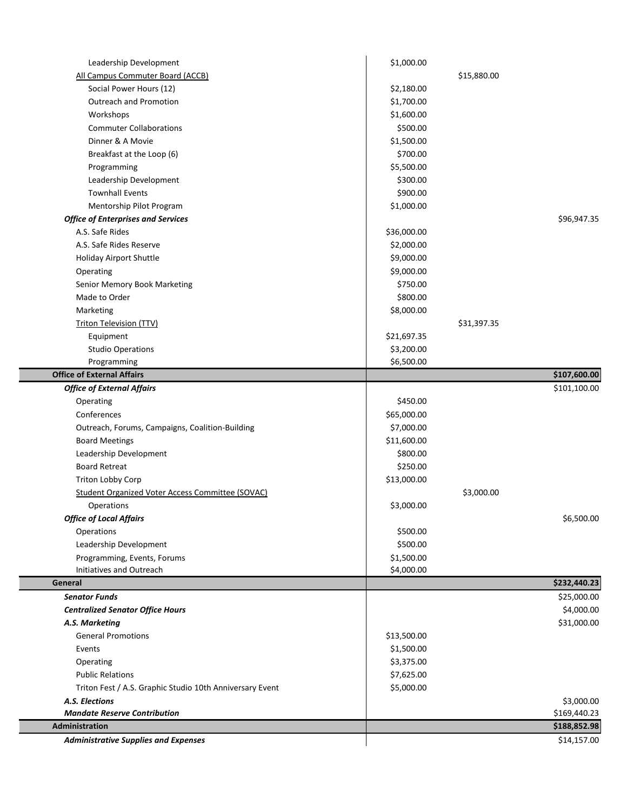| Leadership Development                                   | \$1,000.00  |             |              |
|----------------------------------------------------------|-------------|-------------|--------------|
| All Campus Commuter Board (ACCB)                         |             | \$15,880.00 |              |
| Social Power Hours (12)                                  | \$2,180.00  |             |              |
| <b>Outreach and Promotion</b>                            | \$1,700.00  |             |              |
| Workshops                                                | \$1,600.00  |             |              |
| <b>Commuter Collaborations</b>                           | \$500.00    |             |              |
| Dinner & A Movie                                         | \$1,500.00  |             |              |
| Breakfast at the Loop (6)                                | \$700.00    |             |              |
| Programming                                              | \$5,500.00  |             |              |
| Leadership Development                                   | \$300.00    |             |              |
| <b>Townhall Events</b>                                   | \$900.00    |             |              |
| Mentorship Pilot Program                                 | \$1,000.00  |             |              |
| <b>Office of Enterprises and Services</b>                |             |             | \$96,947.35  |
| A.S. Safe Rides                                          | \$36,000.00 |             |              |
| A.S. Safe Rides Reserve                                  | \$2,000.00  |             |              |
| <b>Holiday Airport Shuttle</b>                           | \$9,000.00  |             |              |
| Operating                                                | \$9,000.00  |             |              |
| Senior Memory Book Marketing                             | \$750.00    |             |              |
| Made to Order                                            | \$800.00    |             |              |
| Marketing                                                | \$8,000.00  |             |              |
| <b>Triton Television (TTV)</b>                           |             | \$31,397.35 |              |
| Equipment                                                | \$21,697.35 |             |              |
| <b>Studio Operations</b>                                 | \$3,200.00  |             |              |
| Programming                                              | \$6,500.00  |             |              |
| <b>Office of External Affairs</b>                        |             |             | \$107,600.00 |
| <b>Office of External Affairs</b>                        |             |             | \$101,100.00 |
| Operating                                                | \$450.00    |             |              |
| Conferences                                              | \$65,000.00 |             |              |
| Outreach, Forums, Campaigns, Coalition-Building          | \$7,000.00  |             |              |
| <b>Board Meetings</b>                                    | \$11,600.00 |             |              |
| Leadership Development                                   | \$800.00    |             |              |
| <b>Board Retreat</b>                                     | \$250.00    |             |              |
| Triton Lobby Corp                                        | \$13,000.00 |             |              |
| <b>Student Organized Voter Access Committee (SOVAC)</b>  |             | \$3,000.00  |              |
| Operations                                               | \$3,000.00  |             |              |
| <b>Office of Local Affairs</b>                           |             |             | \$6,500.00   |
| Operations                                               | \$500.00    |             |              |
| Leadership Development                                   | \$500.00    |             |              |
| Programming, Events, Forums                              | \$1,500.00  |             |              |
| Initiatives and Outreach                                 | \$4,000.00  |             |              |
| General                                                  |             |             | \$232,440.23 |
| <b>Senator Funds</b>                                     |             |             | \$25,000.00  |
| <b>Centralized Senator Office Hours</b>                  |             |             | \$4,000.00   |
| A.S. Marketing                                           |             |             | \$31,000.00  |
| <b>General Promotions</b>                                | \$13,500.00 |             |              |
| Events                                                   | \$1,500.00  |             |              |
| Operating                                                | \$3,375.00  |             |              |
| <b>Public Relations</b>                                  | \$7,625.00  |             |              |
| Triton Fest / A.S. Graphic Studio 10th Anniversary Event | \$5,000.00  |             |              |
| A.S. Elections                                           |             |             | \$3,000.00   |
| <b>Mandate Reserve Contribution</b>                      |             |             | \$169,440.23 |
| Administration                                           |             |             | \$188,852.98 |
| <b>Administrative Supplies and Expenses</b>              |             |             | \$14,157.00  |
|                                                          |             |             |              |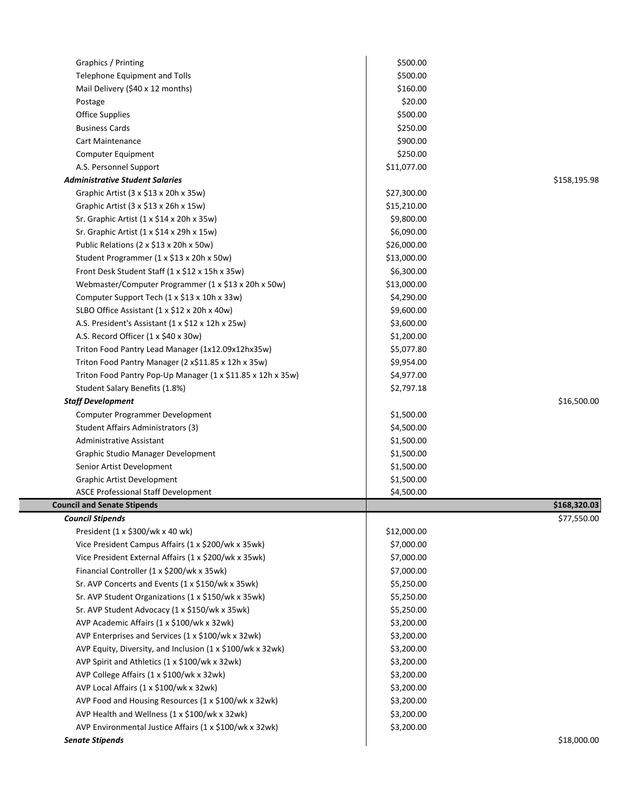| Graphics / Printing                                         | \$500.00    |              |
|-------------------------------------------------------------|-------------|--------------|
| Telephone Equipment and Tolls                               | \$500.00    |              |
| Mail Delivery (\$40 x 12 months)                            | \$160.00    |              |
| Postage                                                     | \$20.00     |              |
| <b>Office Supplies</b>                                      | \$500.00    |              |
| <b>Business Cards</b>                                       | \$250.00    |              |
| Cart Maintenance                                            | \$900.00    |              |
| Computer Equipment                                          | \$250.00    |              |
| A.S. Personnel Support                                      | \$11,077.00 |              |
| <b>Administrative Student Salaries</b>                      |             | \$158,195.98 |
| Graphic Artist (3 x \$13 x 20h x 35w)                       | \$27,300.00 |              |
| Graphic Artist (3 x \$13 x 26h x 15w)                       | \$15,210.00 |              |
| Sr. Graphic Artist (1 x \$14 x 20h x 35w)                   | \$9,800.00  |              |
| Sr. Graphic Artist (1 x \$14 x 29h x 15w)                   | \$6,090.00  |              |
| Public Relations (2 x \$13 x 20h x 50w)                     | \$26,000.00 |              |
| Student Programmer (1 x \$13 x 20h x 50w)                   | \$13,000.00 |              |
| Front Desk Student Staff (1 x \$12 x 15h x 35w)             | \$6,300.00  |              |
| Webmaster/Computer Programmer (1 x \$13 x 20h x 50w)        | \$13,000.00 |              |
| Computer Support Tech (1 x \$13 x 10h x 33w)                | \$4,290.00  |              |
| SLBO Office Assistant (1 x \$12 x 20h x 40w)                | \$9,600.00  |              |
| A.S. President's Assistant (1 x \$12 x 12h x 25w)           | \$3,600.00  |              |
| A.S. Record Officer (1 x \$40 x 30w)                        | \$1,200.00  |              |
| Triton Food Pantry Lead Manager (1x12.09x12hx35w)           | \$5,077.80  |              |
| Triton Food Pantry Manager (2 x\$11.85 x 12h x 35w)         | \$9,954.00  |              |
| Triton Food Pantry Pop-Up Manager (1 x \$11.85 x 12h x 35w) | \$4,977.00  |              |
| Student Salary Benefits (1.8%)                              | \$2,797.18  |              |
| <b>Staff Development</b>                                    |             | \$16,500.00  |
| Computer Programmer Development                             | \$1,500.00  |              |
| Student Affairs Administrators (3)                          | \$4,500.00  |              |
| <b>Administrative Assistant</b>                             | \$1,500.00  |              |
| Graphic Studio Manager Development                          | \$1,500.00  |              |
| Senior Artist Development                                   | \$1,500.00  |              |
| Graphic Artist Development                                  | \$1,500.00  |              |
| <b>ASCE Professional Staff Development</b>                  | \$4,500.00  |              |
| <b>Council and Senate Stipends</b>                          |             | \$168,320.03 |
| <b>Council Stipends</b>                                     |             | \$77,550.00  |
| President (1 x \$300/wk x 40 wk)                            | \$12,000.00 |              |
| Vice President Campus Affairs (1 x \$200/wk x 35wk)         | \$7,000.00  |              |
| Vice President External Affairs (1 x \$200/wk x 35wk)       | \$7,000.00  |              |
| Financial Controller (1 x \$200/wk x 35wk)                  | \$7,000.00  |              |
| Sr. AVP Concerts and Events (1 x \$150/wk x 35wk)           | \$5,250.00  |              |
| Sr. AVP Student Organizations (1 x \$150/wk x 35wk)         | \$5,250.00  |              |
| Sr. AVP Student Advocacy (1 x \$150/wk x 35wk)              | \$5,250.00  |              |
| AVP Academic Affairs (1 x \$100/wk x 32wk)                  | \$3,200.00  |              |
| AVP Enterprises and Services (1 x \$100/wk x 32wk)          | \$3,200.00  |              |
| AVP Equity, Diversity, and Inclusion (1 x \$100/wk x 32wk)  | \$3,200.00  |              |
| AVP Spirit and Athletics (1 x \$100/wk x 32wk)              | \$3,200.00  |              |
| AVP College Affairs (1 x \$100/wk x 32wk)                   | \$3,200.00  |              |
| AVP Local Affairs (1 x \$100/wk x 32wk)                     | \$3,200.00  |              |
| AVP Food and Housing Resources (1 x \$100/wk x 32wk)        | \$3,200.00  |              |
|                                                             |             |              |
| AVP Health and Wellness (1 x \$100/wk x 32wk)               | \$3,200.00  |              |
| AVP Environmental Justice Affairs (1 x \$100/wk x 32wk)     | \$3,200.00  |              |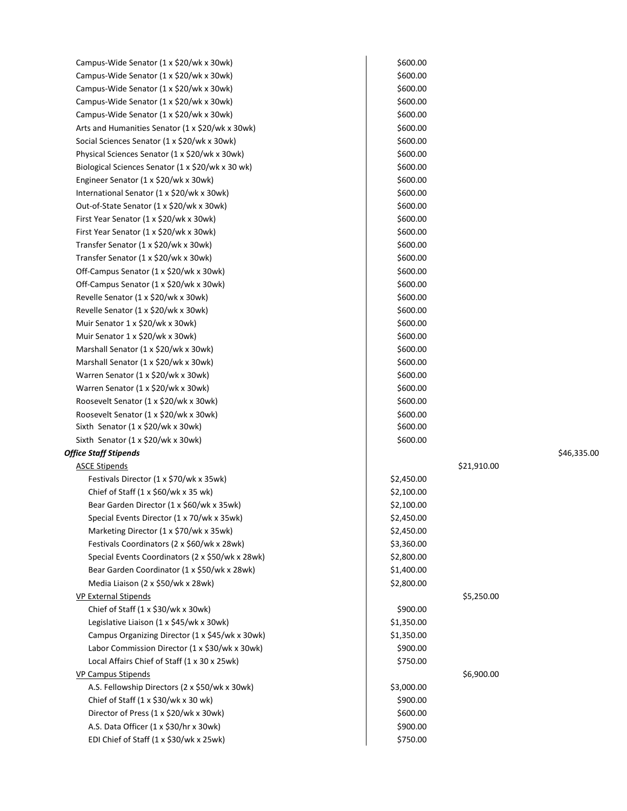| Campus-Wide Senator (1 x \$20/wk x 30wk)             | \$600.00   |             |             |
|------------------------------------------------------|------------|-------------|-------------|
| Campus-Wide Senator (1 x \$20/wk x 30wk)             | \$600.00   |             |             |
| Campus-Wide Senator (1 x \$20/wk x 30wk)             | \$600.00   |             |             |
| Campus-Wide Senator (1 x \$20/wk x 30wk)             | \$600.00   |             |             |
| Campus-Wide Senator (1 x \$20/wk x 30wk)             | \$600.00   |             |             |
| Arts and Humanities Senator (1 x \$20/wk x 30wk)     | \$600.00   |             |             |
| Social Sciences Senator (1 x \$20/wk x 30wk)         | \$600.00   |             |             |
| Physical Sciences Senator (1 x \$20/wk x 30wk)       | \$600.00   |             |             |
| Biological Sciences Senator (1 x \$20/wk x 30 wk)    | \$600.00   |             |             |
| Engineer Senator (1 x \$20/wk x 30wk)                | \$600.00   |             |             |
| International Senator (1 x \$20/wk x 30wk)           | \$600.00   |             |             |
| Out-of-State Senator (1 x \$20/wk x 30wk)            | \$600.00   |             |             |
| First Year Senator (1 x \$20/wk x 30wk)              | \$600.00   |             |             |
| First Year Senator (1 x \$20/wk x 30wk)              | \$600.00   |             |             |
| Transfer Senator (1 x \$20/wk x 30wk)                | \$600.00   |             |             |
| Transfer Senator (1 x \$20/wk x 30wk)                | \$600.00   |             |             |
| Off-Campus Senator (1 x \$20/wk x 30wk)              | \$600.00   |             |             |
| Off-Campus Senator (1 x \$20/wk x 30wk)              | \$600.00   |             |             |
| Revelle Senator (1 x \$20/wk x 30wk)                 | \$600.00   |             |             |
| Revelle Senator (1 x \$20/wk x 30wk)                 | \$600.00   |             |             |
| Muir Senator 1 x \$20/wk x 30wk)                     | \$600.00   |             |             |
| Muir Senator 1 x \$20/wk x 30wk)                     | \$600.00   |             |             |
| Marshall Senator (1 x \$20/wk x 30wk)                | \$600.00   |             |             |
| Marshall Senator (1 x \$20/wk x 30wk)                | \$600.00   |             |             |
| Warren Senator (1 x \$20/wk x 30wk)                  | \$600.00   |             |             |
| Warren Senator (1 x \$20/wk x 30wk)                  | \$600.00   |             |             |
| Roosevelt Senator (1 x \$20/wk x 30wk)               | \$600.00   |             |             |
| Roosevelt Senator (1 x \$20/wk x 30wk)               | \$600.00   |             |             |
| Sixth Senator $(1 \times \frac{20}{w}k \times 30wk)$ | \$600.00   |             |             |
| Sixth Senator (1 x \$20/wk x 30wk)                   | \$600.00   |             |             |
| <b>Office Staff Stipends</b>                         |            |             | \$46,335.00 |
| <b>ASCE Stipends</b>                                 |            | \$21,910.00 |             |
| Festivals Director (1 x \$70/wk x 35wk)              | \$2,450.00 |             |             |
| Chief of Staff $(1 \times $60$ /wk x 35 wk)          | \$2,100.00 |             |             |
| Bear Garden Director (1 x \$60/wk x 35wk)            | \$2,100.00 |             |             |
| Special Events Director (1 x 70/wk x 35wk)           | \$2,450.00 |             |             |
| Marketing Director (1 x \$70/wk x 35wk)              | \$2,450.00 |             |             |
| Festivals Coordinators (2 x \$60/wk x 28wk)          | \$3,360.00 |             |             |
| Special Events Coordinators (2 x \$50/wk x 28wk)     | \$2,800.00 |             |             |
| Bear Garden Coordinator (1 x \$50/wk x 28wk)         | \$1,400.00 |             |             |
| Media Liaison (2 x \$50/wk x 28wk)                   | \$2,800.00 |             |             |
| VP External Stipends                                 |            | \$5,250.00  |             |
| Chief of Staff (1 x \$30/wk x 30wk)                  | \$900.00   |             |             |
| Legislative Liaison (1 x \$45/wk x 30wk)             | \$1,350.00 |             |             |
| Campus Organizing Director (1 x \$45/wk x 30wk)      | \$1,350.00 |             |             |
| Labor Commission Director (1 x \$30/wk x 30wk)       | \$900.00   |             |             |
| Local Affairs Chief of Staff (1 x 30 x 25wk)         | \$750.00   |             |             |
| <b>VP Campus Stipends</b>                            |            | \$6,900.00  |             |
| A.S. Fellowship Directors (2 x \$50/wk x 30wk)       | \$3,000.00 |             |             |
| Chief of Staff $(1 \times $30/wk \times 30 wk)$      | \$900.00   |             |             |
| Director of Press (1 x \$20/wk x 30wk)               | \$600.00   |             |             |
| A.S. Data Officer (1 x \$30/hr x 30wk)               | \$900.00   |             |             |
| EDI Chief of Staff (1 x \$30/wk x 25wk)              | \$750.00   |             |             |
|                                                      |            |             |             |